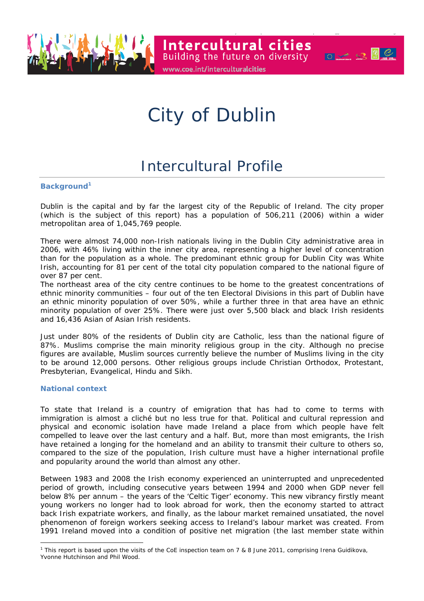

City of Dublin

www.coe.int/interculturalcities

**Intercultural cities** 

Building the future on diversity **Figure** 

# Intercultural Profile

#### **Background<sup>1</sup>**

Dublin is the capital and by far the largest city of the Republic of Ireland. The city proper (which is the subject of this report) has a population of 506,211 (2006) within a wider metropolitan area of 1,045,769 people.

There were almost 74,000 non-Irish nationals living in the Dublin City administrative area in 2006, with 46% living within the inner city area, representing a higher level of concentration than for the population as a whole. The predominant ethnic group for Dublin City was White Irish, accounting for 81 per cent of the total city population compared to the national figure of over 87 per cent.

The northeast area of the city centre continues to be home to the greatest concentrations of ethnic minority communities – four out of the ten Electoral Divisions in this part of Dublin have an ethnic minority population of over 50%, while a further three in that area have an ethnic minority population of over 25%. There were just over 5,500 black and black Irish residents and 16,436 Asian of Asian Irish residents.

Just under 80% of the residents of Dublin city are Catholic, less than the national figure of 87%. Muslims comprise the main minority religious group in the city. Although no precise figures are available, Muslim sources currently believe the number of Muslims living in the city to be around 12,000 persons. Other religious groups include Christian Orthodox, Protestant, Presbyterian, Evangelical, Hindu and Sikh.

#### **National context**

 $\overline{a}$ 

To state that Ireland is a country of emigration that has had to come to terms with immigration is almost a cliché but no less true for that. Political and cultural repression and physical and economic isolation have made Ireland a place from which people have felt compelled to leave over the last century and a half. But, more than most emigrants, the Irish have retained a longing for the homeland and an ability to transmit their culture to others so, compared to the size of the population, Irish culture must have a higher international profile and popularity around the world than almost any other.

Between 1983 and 2008 the Irish economy experienced an uninterrupted and unprecedented period of growth, including consecutive years between 1994 and 2000 when GDP never fell below 8% per annum – the years of the 'Celtic Tiger' economy. This new vibrancy firstly meant young workers no longer had to look abroad for work, then the economy started to attract back Irish expatriate workers, and finally, as the labour market remained unsatiated, the novel phenomenon of foreign workers seeking access to Ireland's labour market was created. From 1991 Ireland moved into a condition of positive net migration (the last member state within

<sup>&</sup>lt;sup>1</sup> This report is based upon the visits of the CoE inspection team on 7 & 8 June 2011, comprising Irena Guidikova, Yvonne Hutchinson and Phil Wood.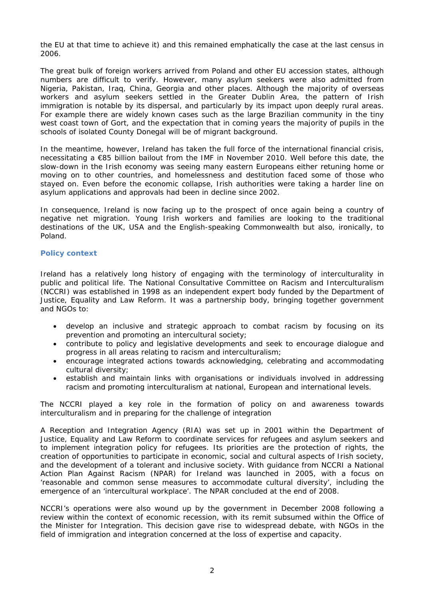the EU at that time to achieve it) and this remained emphatically the case at the last census in 2006.

The great bulk of foreign workers arrived from Poland and other EU accession states, although numbers are difficult to verify. However, many asylum seekers were also admitted from Nigeria, Pakistan, Iraq, China, Georgia and other places. Although the majority of overseas workers and asylum seekers settled in the Greater Dublin Area, the pattern of Irish immigration is notable by its dispersal, and particularly by its impact upon deeply rural areas. For example there are widely known cases such as the large Brazilian community in the tiny west coast town of Gort, and the expectation that in coming years the majority of pupils in the schools of isolated County Donegal will be of migrant background.

In the meantime, however, Ireland has taken the full force of the international financial crisis, necessitating a €85 billion bailout from the IMF in November 2010. Well before this date, the slow-down in the Irish economy was seeing many eastern Europeans either retuning home or moving on to other countries, and homelessness and destitution faced some of those who stayed on. Even before the economic collapse, Irish authorities were taking a harder line on asylum applications and approvals had been in decline since 2002.

In consequence, Ireland is now facing up to the prospect of once again being a country of negative net migration. Young Irish workers and families are looking to the traditional destinations of the UK, USA and the English-speaking Commonwealth but also, ironically, to Poland.

# **Policy context**

Ireland has a relatively long history of engaging with the terminology of interculturality in public and political life. The National Consultative Committee on Racism and Interculturalism (NCCRI) was established in 1998 as an independent expert body funded by the Department of Justice, Equality and Law Reform. It was a partnership body, bringing together government and NGOs to:

- develop an inclusive and strategic approach to combat racism by focusing on its prevention and promoting an intercultural society;
- contribute to policy and legislative developments and seek to encourage dialogue and progress in all areas relating to racism and interculturalism;
- encourage integrated actions towards acknowledging, celebrating and accommodating cultural diversity;
- establish and maintain links with organisations or individuals involved in addressing racism and promoting interculturalism at national, European and international levels.

The NCCRI played a key role in the formation of policy on and awareness towards interculturalism and in preparing for the challenge of integration

A Reception and Integration Agency (RIA) was set up in 2001 within the Department of Justice, Equality and Law Reform to coordinate services for refugees and asylum seekers and to implement integration policy for refugees. Its priorities are the protection of rights, the creation of opportunities to participate in economic, social and cultural aspects of Irish society, and the development of a tolerant and inclusive society. With guidance from NCCRI a National Action Plan Against Racism (NPAR) for Ireland was launched in 2005, with a focus on 'reasonable and common sense measures to accommodate cultural diversity', including the emergence of an 'intercultural workplace'. The NPAR concluded at the end of 2008.

NCCRI's operations were also wound up by the government in December 2008 following a review within the context of economic recession, with its remit subsumed within the Office of the Minister for Integration. This decision gave rise to widespread debate, with NGOs in the field of immigration and integration concerned at the loss of expertise and capacity.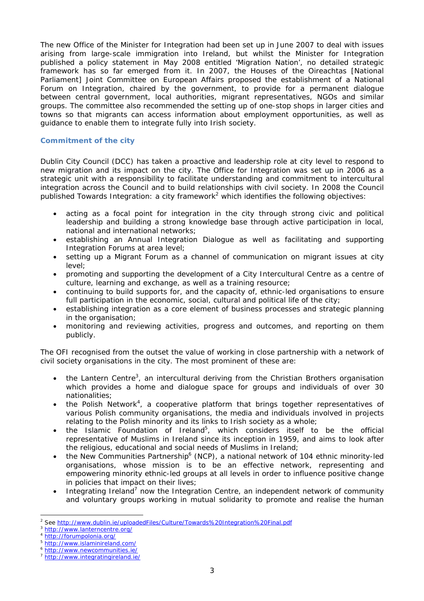The new Office of the Minister for Integration had been set up in June 2007 to deal with issues arising from large-scale immigration into Ireland, but whilst the Minister for Integration published a policy statement in May 2008 entitled 'Migration Nation', no detailed strategic framework has so far emerged from it. In 2007, the Houses of the *Oireachtas* [National Parliament] Joint Committee on European Affairs proposed the establishment of a National Forum on Integration, chaired by the government, to provide for a permanent dialogue between central government, local authorities, migrant representatives, NGOs and similar groups. The committee also recommended the setting up of one-stop shops in larger cities and towns so that migrants can access information about employment opportunities, as well as guidance to enable them to integrate fully into Irish society.

# **Commitment of the city**

Dublin City Council (DCC) has taken a proactive and leadership role at city level to respond to new migration and its impact on the city. The Office for Integration was set up in 2006 as a strategic unit with a responsibility to facilitate understanding and commitment to intercultural integration across the Council and to build relationships with civil society. In 2008 the Council published *Towards Integration: a city framework2* which identifies the following objectives:

- acting as a focal point for integration in the city through strong civic and political leadership and building a strong knowledge base through active participation in local, national and international networks;
- establishing an Annual Integration Dialogue as well as facilitating and supporting Integration Forums at area level;
- setting up a Migrant Forum as a channel of communication on migrant issues at city level;
- promoting and supporting the development of a City Intercultural Centre as a centre of culture, learning and exchange, as well as a training resource;
- continuing to build supports for, and the capacity of, ethnic-led organisations to ensure full participation in the economic, social, cultural and political life of the city;
- establishing integration as a core element of business processes and strategic planning in the organisation;
- monitoring and reviewing activities, progress and outcomes, and reporting on them publicly.

The OFI recognised from the outset the value of working in close partnership with a network of civil society organisations in the city. The most prominent of these are:

- $\bullet$  the Lantern Centre<sup>3</sup>, an intercultural deriving from the Christian Brothers organisation which provides a home and dialogue space for groups and individuals of over 30 nationalities;
- the Polish Network<sup>4</sup>, a cooperative platform that brings together representatives of various Polish community organisations, the media and individuals involved in projects relating to the Polish minority and its links to Irish society as a whole;
- $\bullet$  the Islamic Foundation of Ireland<sup>5</sup>, which considers itself to be the official representative of Muslims in Ireland since its inception in 1959, and aims to look after the religious, educational and social needs of Muslims in Ireland;
- the New Communities Partnership<sup>6</sup> (NCP), a national network of 104 ethnic minority-led organisations, whose mission is to be an effective network, representing and empowering minority ethnic-led groups at all levels in order to influence positive change in policies that impact on their lives;
- $\bullet$  Integrating Ireland<sup>7</sup> now the Integration Centre, an independent network of community and voluntary groups working in mutual solidarity to promote and realise the human

 $\overline{\phantom{a}}$ 2 See <u>http://www.dublin.ie/uploadedFiles/Culture/Towards%20Integration%20Final.pdf<br>http://www.lanterncentre.org/<br>http://forumpolonia.org/<br>http://www.islaminireland.com/<br>http://www.newcommunities.ie/<br>http://www.integratingir</u>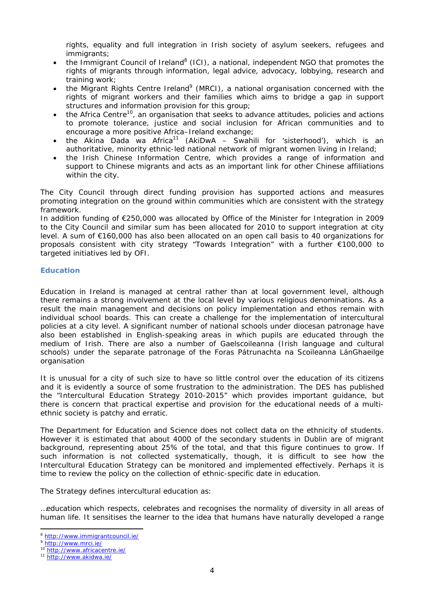rights, equality and full integration in Irish society of asylum seekers, refugees and immigrants;

- the Immigrant Council of Ireland<sup>8</sup> (ICI), a national, independent NGO that promotes the rights of migrants through information, legal advice, advocacy, lobbying, research and training work;
- $\bullet$  the Migrant Rights Centre Ireland<sup>9</sup> (MRCI), a national organisation concerned with the rights of migrant workers and their families which aims to bridge a gap in support structures and information provision for this group;
- $\bullet$  the Africa Centre<sup>10</sup>, an organisation that seeks to advance attitudes, policies and actions to promote tolerance, justice and social inclusion for African communities and to encourage a more positive Africa–Ireland exchange;
- the Akina Dada wa Africa<sup>11</sup> (AkiDwA Swahili for 'sisterhood'), which is an authoritative, minority ethnic-led national network of migrant women living in Ireland;
- the Irish Chinese Information Centre, which provides a range of information and support to Chinese migrants and acts as an important link for other Chinese affiliations within the city.

The City Council through direct funding provision has supported actions and measures promoting integration on the ground within communities which are consistent with the strategy framework.

In addition funding of €250,000 was allocated by Office of the Minister for Integration in 2009 to the City Council and similar sum has been allocated for 2010 to support integration at city level. A sum of €160,000 has also been allocated on an open call basis to 40 organizations for proposals consistent with city strategy "Towards Integration" with a further €100,000 to targeted initiatives led by OFI.

# **Education**

Education in Ireland is managed at central rather than at local government level, although there remains a strong involvement at the local level by various religious denominations. As a result the main management and decisions on policy implementation and ethos remain with individual school boards. This can create a challenge for the implementation of intercultural policies at a city level. A significant number of national schools under diocesan patronage have also been established in English-speaking areas in which pupils are educated through the medium of Irish. There are also a number of *Gaelscoileanna* (Irish language and cultural schools) under the separate patronage of the *Foras Pátrunachta na Scoileanna LánGhaeilge* organisation

It is unusual for a city of such size to have so little control over the education of its citizens and it is evidently a source of some frustration to the administration. The DES has published the "Intercultural Education Strategy 2010-2015" which provides important guidance, but there is concern that practical expertise and provision for the educational needs of a multiethnic society is patchy and erratic.

The Department for Education and Science does not collect data on the ethnicity of students. However it is estimated that about 4000 of the secondary students in Dublin are of migrant background, representing about 25% of the total, and that this figure continues to grow. If such information is not collected systematically, though, it is difficult to see how the Intercultural Education Strategy can be monitored and implemented effectively. Perhaps it is time to review the policy on the collection of ethnic-specific date in education.

The Strategy defines intercultural education as:

*…education which respects, celebrates and recognises the normality of diversity in all areas of human life. It sensitises the learner to the idea that humans have naturally developed a range* 

 $\overline{a}$ 

<sup>&</sup>lt;sup>8</sup> <u>http://www.immigrantcouncil.ie/</u><br><sup>9</sup> <u>http://www.mrci.ie/</u><br><sup>10</sup> <u>http://www.africacentre.ie/</u><br><sup>11</sup> http://www.akidwa.ie/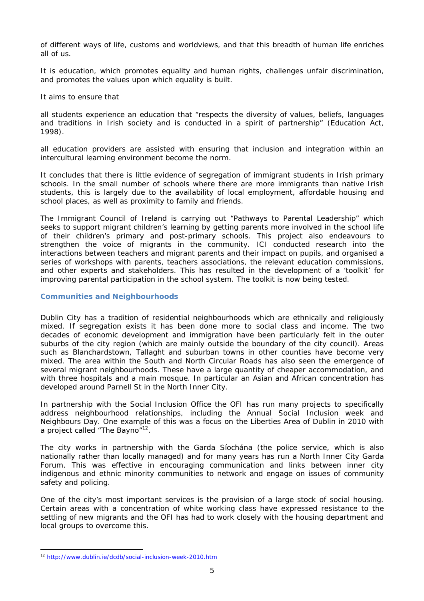*of different ways of life, customs and worldviews, and that this breadth of human life enriches all of us.* 

*It is education, which promotes equality and human rights, challenges unfair discrimination, and promotes the values upon which equality is built.* 

It aims to ensure that

*all students experience an education that "respects the diversity of values, beliefs, languages and traditions in Irish society and is conducted in a spirit of partnership" (Education Act, 1998).* 

*all education providers are assisted with ensuring that inclusion and integration within an intercultural learning environment become the norm.* 

It concludes that there is little evidence of segregation of immigrant students in Irish primary schools. In the small number of schools where there are more immigrants than native Irish students, this is largely due to the availability of local employment, affordable housing and school places, as well as proximity to family and friends.

The Immigrant Council of Ireland is carrying out "Pathways to Parental Leadership" which seeks to support migrant children's learning by getting parents more involved in the school life of their children's primary and post-primary schools. This project also endeavours to strengthen the voice of migrants in the community. ICI conducted research into the interactions between teachers and migrant parents and their impact on pupils, and organised a series of workshops with parents, teachers associations, the relevant education commissions, and other experts and stakeholders. This has resulted in the development of a 'toolkit' for improving parental participation in the school system. The toolkit is now being tested.

## **Communities and Neighbourhoods**

Dublin City has a tradition of residential neighbourhoods which are ethnically and religiously mixed. If segregation exists it has been done more to social class and income. The two decades of economic development and immigration have been particularly felt in the outer suburbs of the city region (which are mainly outside the boundary of the city council). Areas such as Blanchardstown, Tallaght and suburban towns in other counties have become very mixed. The area within the South and North Circular Roads has also seen the emergence of several migrant neighbourhoods. These have a large quantity of cheaper accommodation, and with three hospitals and a main mosque. In particular an Asian and African concentration has developed around Parnell St in the North Inner City.

In partnership with the Social Inclusion Office the OFI has run many projects to specifically address neighbourhood relationships, including the Annual Social Inclusion week and Neighbours Day. One example of this was a focus on the Liberties Area of Dublin in 2010 with a project called "The Bayno"<sup>12</sup>.

The city works in partnership with the Garda Síochána (the police service, which is also nationally rather than locally managed) and for many years has run a North Inner City Garda Forum. This was effective in encouraging communication and links between inner city indigenous and ethnic minority communities to network and engage on issues of community safety and policing.

One of the city's most important services is the provision of a large stock of social housing. Certain areas with a concentration of white working class have expressed resistance to the settling of new migrants and the OFI has had to work closely with the housing department and local groups to overcome this.

 $\overline{\phantom{a}}$ <sup>12</sup> http://www.dublin.ie/dcdb/social-inclusion-week-2010.htm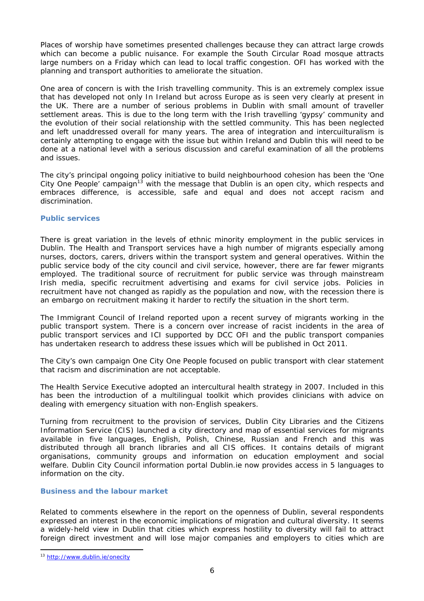Places of worship have sometimes presented challenges because they can attract large crowds which can become a public nuisance. For example the South Circular Road mosque attracts large numbers on a Friday which can lead to local traffic congestion. OFI has worked with the planning and transport authorities to ameliorate the situation.

One area of concern is with the Irish travelling community. This is an extremely complex issue that has developed not only In Ireland but across Europe as is seen very clearly at present in the UK. There are a number of serious problems in Dublin with small amount of traveller settlement areas. This is due to the long term with the Irish travelling 'gypsy' community and the evolution of their social relationship with the settled community. This has been neglected and left unaddressed overall for many years. The area of integration and intercuilturalism is certainly attempting to engage with the issue but within Ireland and Dublin this will need to be done at a national level with a serious discussion and careful examination of all the problems and issues.

The city's principal ongoing policy initiative to build neighbourhood cohesion has been the 'One City One People' campaign<sup>13</sup> with the message that Dublin is an open city, which respects and embraces difference, is accessible, safe and equal and does not accept racism and discrimination.

# **Public services**

There is great variation in the levels of ethnic minority employment in the public services in Dublin. The Health and Transport services have a high number of migrants especially among nurses, doctors, carers, drivers within the transport system and general operatives. Within the public service body of the city council and civil service, however, there are far fewer migrants employed. The traditional source of recruitment for public service was through mainstream Irish media, specific recruitment advertising and exams for civil service jobs. Policies in recruitment have not changed as rapidly as the population and now, with the recession there is an embargo on recruitment making it harder to rectify the situation in the short term.

The Immigrant Council of Ireland reported upon a recent survey of migrants working in the public transport system. There is a concern over increase of racist incidents in the area of public transport services and ICI supported by DCC OFI and the public transport companies has undertaken research to address these issues which will be published in Oct 2011.

The City's own campaign One City One People focused on public transport with clear statement that racism and discrimination are not acceptable.

The Health Service Executive adopted an intercultural health strategy in 2007. Included in this has been the introduction of a multilingual toolkit which provides clinicians with advice on dealing with emergency situation with non-English speakers.

Turning from recruitment to the provision of services, Dublin City Libraries and the Citizens Information Service (CIS) launched a city directory and map of essential services for migrants available in five languages, English, Polish, Chinese, Russian and French and this was distributed through all branch libraries and all CIS offices. It contains details of migrant organisations, community groups and information on education employment and social welfare. Dublin City Council information portal Dublin.ie now provides access in 5 languages to information on the city.

# **Business and the labour market**

Related to comments elsewhere in the report on the openness of Dublin, several respondents expressed an interest in the economic implications of migration and cultural diversity. It seems a widely-held view in Dublin that cities which express hostility to diversity will fail to attract foreign direct investment and will lose major companies and employers to cities which are

 $\overline{\phantom{a}}$ 

<sup>13</sup> http://www.dublin.ie/onecity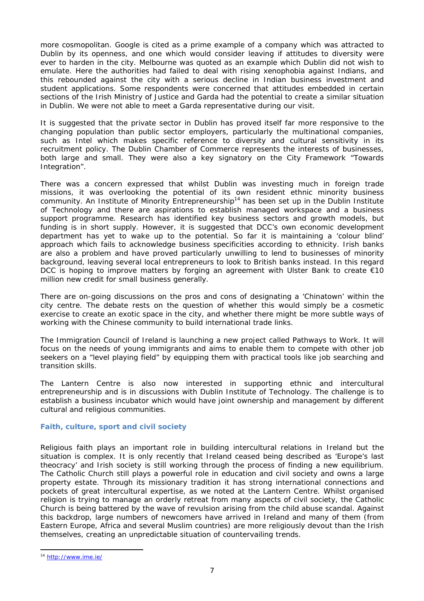more cosmopolitan. Google is cited as a prime example of a company which was attracted to Dublin by its openness, and one which would consider leaving if attitudes to diversity were ever to harden in the city. Melbourne was quoted as an example which Dublin did not wish to emulate. Here the authorities had failed to deal with rising xenophobia against Indians, and this rebounded against the city with a serious decline in Indian business investment and student applications. Some respondents were concerned that attitudes embedded in certain sections of the Irish Ministry of Justice and Garda had the potential to create a similar situation in Dublin. We were not able to meet a Garda representative during our visit.

It is suggested that the private sector in Dublin has proved itself far more responsive to the changing population than public sector employers, particularly the multinational companies, such as Intel which makes specific reference to diversity and cultural sensitivity in its recruitment policy. The Dublin Chamber of Commerce represents the interests of businesses, both large and small. They were also a key signatory on the City Framework "Towards Integration".

There was a concern expressed that whilst Dublin was investing much in foreign trade missions, it was overlooking the potential of its own resident ethnic minority business community. An Institute of Minority Entrepreneurship<sup>14</sup> has been set up in the Dublin Institute of Technology and there are aspirations to establish managed workspace and a business support programme. Research has identified key business sectors and growth models, but funding is in short supply. However, it is suggested that DCC's own economic development department has yet to wake up to the potential. So far it is maintaining a 'colour blind' approach which fails to acknowledge business specificities according to ethnicity. Irish banks are also a problem and have proved particularly unwilling to lend to businesses of minority background, leaving several local entrepreneurs to look to British banks instead. In this regard DCC is hoping to improve matters by forging an agreement with Ulster Bank to create €10 million new credit for small business generally.

There are on-going discussions on the pros and cons of designating a 'Chinatown' within the city centre. The debate rests on the question of whether this would simply be a cosmetic exercise to create an exotic space in the city, and whether there might be more subtle ways of working with the Chinese community to build international trade links.

The Immigration Council of Ireland is launching a new project called Pathways to Work. It will focus on the needs of young immigrants and aims to enable them to compete with other job seekers on a "level playing field" by equipping them with practical tools like job searching and transition skills.

The Lantern Centre is also now interested in supporting ethnic and intercultural entrepreneurship and is in discussions with Dublin Institute of Technology. The challenge is to establish a business incubator which would have joint ownership and management by different cultural and religious communities.

## **Faith, culture, sport and civil society**

Religious faith plays an important role in building intercultural relations in Ireland but the situation is complex. It is only recently that Ireland ceased being described as 'Europe's last theocracy' and Irish society is still working through the process of finding a new equilibrium. The Catholic Church still plays a powerful role in education and civil society and owns a large property estate. Through its missionary tradition it has strong international connections and pockets of great intercultural expertise, as we noted at the Lantern Centre. Whilst organised religion is trying to manage an orderly retreat from many aspects of civil society, the Catholic Church is being battered by the wave of revulsion arising from the child abuse scandal. Against this backdrop, large numbers of newcomers have arrived in Ireland and many of them (from Eastern Europe, Africa and several Muslim countries) are more religiously devout than the Irish themselves, creating an unpredictable situation of countervailing trends.

 $\overline{\phantom{a}}$ 

<sup>14</sup> http://www.ime.ie/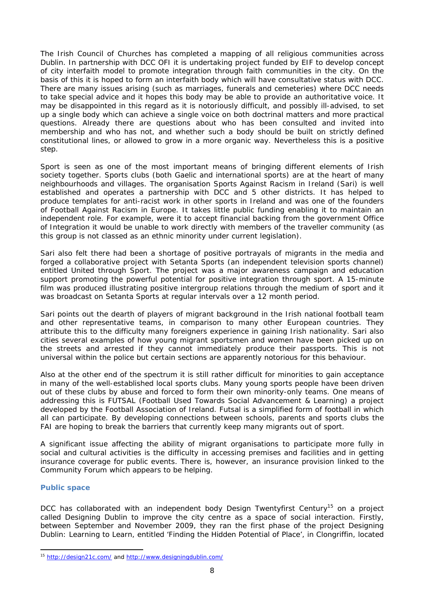The Irish Council of Churches has completed a mapping of all religious communities across Dublin. In partnership with DCC OFI it is undertaking project funded by EIF to develop concept of city interfaith model to promote integration through faith communities in the city. On the basis of this it is hoped to form an interfaith body which will have consultative status with DCC. There are many issues arising (such as marriages, funerals and cemeteries) where DCC needs to take special advice and it hopes this body may be able to provide an authoritative voice. It may be disappointed in this regard as it is notoriously difficult, and possibly ill-advised, to set up a single body which can achieve a single voice on both doctrinal matters and more practical questions. Already there are questions about who has been consulted and invited into membership and who has not, and whether such a body should be built on strictly defined constitutional lines, or allowed to grow in a more organic way. Nevertheless this is a positive step.

Sport is seen as one of the most important means of bringing different elements of Irish society together. Sports clubs (both Gaelic and international sports) are at the heart of many neighbourhoods and villages. The organisation Sports Against Racism in Ireland (Sari) is well established and operates a partnership with DCC and 5 other districts. It has helped to produce templates for anti-racist work in other sports in Ireland and was one of the founders of Football Against Racism in Europe. It takes little public funding enabling it to maintain an independent role. For example, were it to accept financial backing from the government Office of Integration it would be unable to work directly with members of the traveller community (as this group is not classed as an ethnic minority under current legislation).

Sari also felt there had been a shortage of positive portrayals of migrants in the media and forged a collaborative project with Setanta Sports (an independent television sports channel) entitled United through Sport. The project was a major awareness campaign and education support promoting the powerful potential for positive integration through sport. A 15-minute film was produced illustrating positive intergroup relations through the medium of sport and it was broadcast on Setanta Sports at regular intervals over a 12 month period.

Sari points out the dearth of players of migrant background in the Irish national football team and other representative teams, in comparison to many other European countries. They attribute this to the difficulty many foreigners experience in gaining Irish nationality. Sari also cities several examples of how young migrant sportsmen and women have been picked up on the streets and arrested if they cannot immediately produce their passports. This is not universal within the police but certain sections are apparently notorious for this behaviour.

Also at the other end of the spectrum it is still rather difficult for minorities to gain acceptance in many of the well-established local sports clubs. Many young sports people have been driven out of these clubs by abuse and forced to form their own minority-only teams. One means of addressing this is FUTSAL (Football Used Towards Social Advancement & Learning) a project developed by the Football Association of Ireland. Futsal is a simplified form of football in which all can participate. By developing connections between schools, parents and sports clubs the FAI are hoping to break the barriers that currently keep many migrants out of sport.

A significant issue affecting the ability of migrant organisations to participate more fully in social and cultural activities is the difficulty in accessing premises and facilities and in getting insurance coverage for public events. There is, however, an insurance provision linked to the Community Forum which appears to be helping.

## **Public space**

DCC has collaborated with an independent body Design Twentyfirst Century<sup>15</sup> on a project called Designing Dublin to improve the city centre as a space of social interaction. Firstly, between September and November 2009, they ran the first phase of the project Designing Dublin: Learning to Learn, entitled 'Finding the Hidden Potential of Place', in Clongriffin, located

 $\overline{\phantom{a}}$ <sup>15</sup> http://design21c.com/ and http://www.designingdublin.com/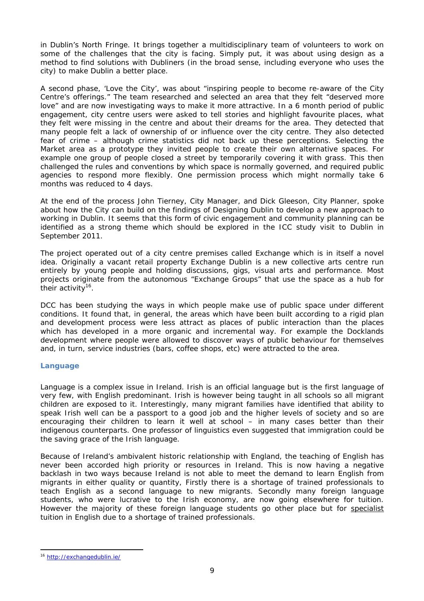in Dublin's North Fringe. It brings together a multidisciplinary team of volunteers to work on some of the challenges that the city is facing. Simply put, it was about using design as a method to find solutions with Dubliners (in the broad sense, including everyone who uses the city) to make Dublin a better place.

A second phase, 'Love the City', was about "inspiring people to become re-aware of the City Centre's offerings." The team researched and selected an area that they felt "deserved more love" and are now investigating ways to make it more attractive. In a 6 month period of public engagement, city centre users were asked to tell stories and highlight favourite places, what they felt were missing in the centre and about their dreams for the area. They detected that many people felt a lack of ownership of or influence over the city centre. They also detected fear of crime – although crime statistics did not back up these perceptions. Selecting the Market area as a prototype they invited people to create their own alternative spaces. For example one group of people closed a street by temporarily covering it with grass. This then challenged the rules and conventions by which space is normally governed, and required public agencies to respond more flexibly. One permission process which might normally take 6 months was reduced to 4 days.

At the end of the process John Tierney, City Manager, and Dick Gleeson, City Planner, spoke about how the City can build on the findings of Designing Dublin to develop a new approach to working in Dublin. It seems that this form of civic engagement and community planning can be identified as a strong theme which should be explored in the ICC study visit to Dublin in September 2011.

The project operated out of a city centre premises called Exchange which is in itself a novel idea. Originally a vacant retail property Exchange Dublin is a new collective arts centre run entirely by young people and holding discussions, gigs, visual arts and performance. Most projects originate from the autonomous "Exchange Groups" that use the space as a hub for their activity<sup>16</sup>.

DCC has been studying the ways in which people make use of public space under different conditions. It found that, in general, the areas which have been built according to a rigid plan and development process were less attract as places of public interaction than the places which has developed in a more organic and incremental way. For example the Docklands development where people were allowed to discover ways of public behaviour for themselves and, in turn, service industries (bars, coffee shops, etc) were attracted to the area.

## **Language**

Language is a complex issue in Ireland. Irish is an official language but is the first language of very few, with English predominant. Irish is however being taught in all schools so all migrant children are exposed to it. Interestingly, many migrant families have identified that ability to speak Irish well can be a passport to a good job and the higher levels of society and so are encouraging their children to learn it well at school – in many cases better than their indigenous counterparts. One professor of linguistics even suggested that immigration could be the saving grace of the Irish language.

Because of Ireland's ambivalent historic relationship with England, the teaching of English has never been accorded high priority or resources in Ireland. This is now having a negative backlash in two ways because Ireland is not able to meet the demand to learn English from migrants in either quality or quantity, Firstly there is a shortage of trained professionals to teach English as a second language to new migrants. Secondly many foreign language students, who were lucrative to the Irish economy, are now going elsewhere for tuition. However the majority of these foreign language students go other place but for *specialist* tuition in English due to a shortage of trained professionals.

 $\overline{\phantom{a}}$ 

<sup>16</sup> http://exchangedublin.ie/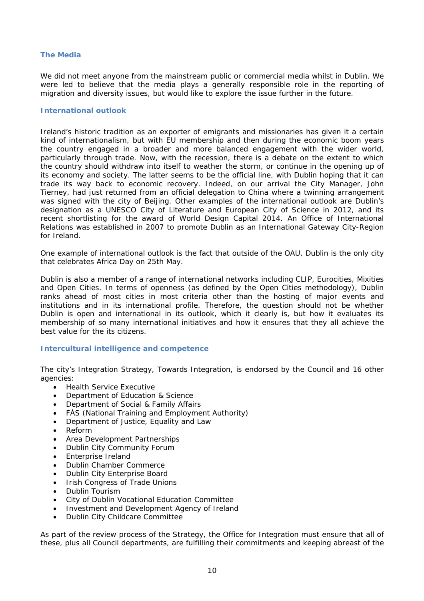## **The Media**

We did not meet anyone from the mainstream public or commercial media whilst in Dublin. We were led to believe that the media plays a generally responsible role in the reporting of migration and diversity issues, but would like to explore the issue further in the future.

#### **International outlook**

Ireland's historic tradition as an exporter of emigrants and missionaries has given it a certain kind of internationalism, but with EU membership and then during the economic boom years the country engaged in a broader and more balanced engagement with the wider world, particularly through trade. Now, with the recession, there is a debate on the extent to which the country should withdraw into itself to weather the storm, or continue in the opening up of its economy and society. The latter seems to be the official line, with Dublin hoping that it can trade its way back to economic recovery. Indeed, on our arrival the City Manager, John Tierney, had just returned from an official delegation to China where a twinning arrangement was signed with the city of Beijing. Other examples of the international outlook are Dublin's designation as a UNESCO City of Literature and European City of Science in 2012, and its recent shortlisting for the award of World Design Capital 2014. An Office of International Relations was established in 2007 to promote Dublin as an International Gateway City-Region for Ireland.

One example of international outlook is the fact that outside of the OAU, Dublin is the only city that celebrates Africa Day on 25th May.

Dublin is also a member of a range of international networks including CLIP, Eurocities, Mixities and Open Cities. In terms of openness (as defined by the Open Cities methodology), Dublin ranks ahead of most cities in most criteria other than the hosting of major events and institutions and in its international profile. Therefore, the question should not be whether Dublin is open and international in its outlook, which it clearly is, but how it evaluates its membership of so many international initiatives and how it ensures that they all achieve the best value for the its citizens.

## **Intercultural intelligence and competence**

The city's Integration Strategy, Towards Integration, is endorsed by the Council and 16 other agencies:

- Health Service Executive
- Department of Education & Science<br>• Department of Social & Family Affai
- Department of Social & Family Affairs
- FÁS (National Training and Employment Authority)
- Department of Justice, Equality and Law
- Reform
- Area Development Partnerships
- Dublin City Community Forum
- Enterprise Ireland
- Dublin Chamber Commerce
- Dublin City Enterprise Board
- Irish Congress of Trade Unions
- Dublin Tourism
- City of Dublin Vocational Education Committee
- Investment and Development Agency of Ireland
- Dublin City Childcare Committee

As part of the review process of the Strategy, the Office for Integration must ensure that all of these, plus all Council departments, are fulfilling their commitments and keeping abreast of the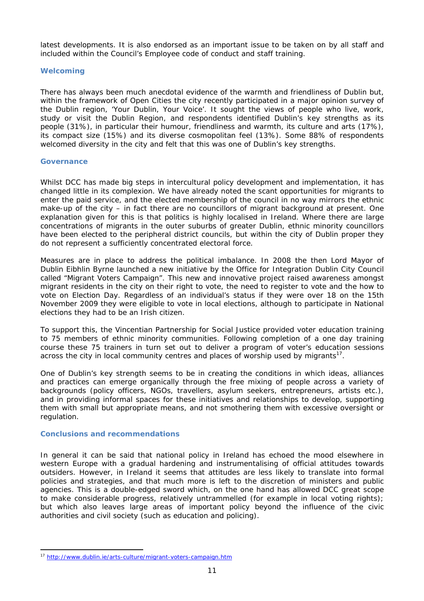latest developments. It is also endorsed as an important issue to be taken on by all staff and included within the Council's Employee code of conduct and staff training.

# **Welcoming**

There has always been much anecdotal evidence of the warmth and friendliness of Dublin but, within the framework of Open Cities the city recently participated in a major opinion survey of the Dublin region, *'Your Dublin, Your Voice'.* It sought the views of people who live, work, study or visit the Dublin Region, and respondents identified Dublin's key strengths as its people (31%), in particular their humour, friendliness and warmth, its culture and arts (17%), its compact size (15%) and its diverse cosmopolitan feel (13%). Some 88% of respondents welcomed diversity in the city and felt that this was one of Dublin's key strengths.

#### **Governance**

Whilst DCC has made big steps in intercultural policy development and implementation, it has changed little in its complexion. We have already noted the scant opportunities for migrants to enter the paid service, and the elected membership of the council in no way mirrors the ethnic make-up of the city – in fact there are no councillors of migrant background at present. One explanation given for this is that politics is highly localised in Ireland. Where there are large concentrations of migrants in the outer suburbs of greater Dublin, ethnic minority councillors have been elected to the peripheral district councils, but within the city of Dublin proper they do not represent a sufficiently concentrated electoral force.

Measures are in place to address the political imbalance. In 2008 the then Lord Mayor of Dublin Eibhlin Byrne launched a new initiative by the Office for Integration Dublin City Council called "Migrant Voters Campaign". This new and innovative project raised awareness amongst migrant residents in the city on their right to vote, the need to register to vote and the how to vote on Election Day. Regardless of an individual's status if they were over 18 on the 15th November 2009 they were eligible to vote in local elections, although to participate in National elections they had to be an Irish citizen.

To support this, the Vincentian Partnership for Social Justice provided voter education training to 75 members of ethnic minority communities. Following completion of a one day training course these 75 trainers in turn set out to deliver a program of voter's education sessions across the city in local community centres and places of worship used by migrants $17$ .

One of Dublin's key strength seems to be in creating the conditions in which ideas, alliances and practices can emerge organically through the free mixing of people across a variety of backgrounds (policy officers, NGOs, travellers, asylum seekers, entrepreneurs, artists etc.), and in providing informal spaces for these initiatives and relationships to develop, supporting them with small but appropriate means, and not smothering them with excessive oversight or regulation.

## **Conclusions and recommendations**

 $\overline{\phantom{a}}$ 

In general it can be said that national policy in Ireland has echoed the mood elsewhere in western Europe with a gradual hardening and instrumentalising of official attitudes towards outsiders. However, in Ireland it seems that attitudes are less likely to translate into formal policies and strategies, and that much more is left to the discretion of ministers and public agencies. This is a double-edged sword which, on the one hand has allowed DCC great scope to make considerable progress, relatively untrammelled (for example in local voting rights); but which also leaves large areas of important policy beyond the influence of the civic authorities and civil society (such as education and policing).

<sup>17</sup> http://www.dublin.ie/arts-culture/migrant-voters-campaign.htm